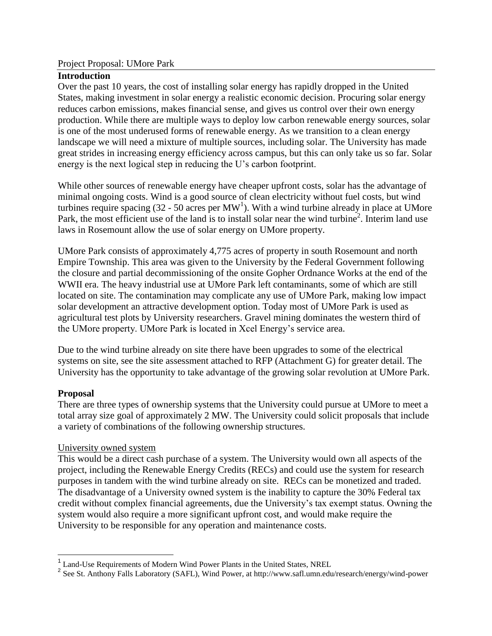#### Project Proposal: UMore Park

## **Introduction**

Over the past 10 years, the cost of installing solar energy has rapidly dropped in the United States, making investment in solar energy a realistic economic decision. Procuring solar energy reduces carbon emissions, makes financial sense, and gives us control over their own energy production. While there are multiple ways to deploy low carbon renewable energy sources, solar is one of the most underused forms of renewable energy. As we transition to a clean energy landscape we will need a mixture of multiple sources, including solar. The University has made great strides in increasing energy efficiency across campus, but this can only take us so far. Solar energy is the next logical step in reducing the U's carbon footprint.

While other sources of renewable energy have cheaper upfront costs, solar has the advantage of minimal ongoing costs. Wind is a good source of clean electricity without fuel costs, but wind turbines require spacing  $(32 - 50 \text{ acres per MW}^1)$ . With a wind turbine already in place at UMore Park, the most efficient use of the land is to install solar near the wind turbine<sup>2</sup>. Interim land use laws in Rosemount allow the use of solar energy on UMore property.

UMore Park consists of approximately 4,775 acres of property in south Rosemount and north Empire Township. This area was given to the University by the Federal Government following the closure and partial decommissioning of the onsite Gopher Ordnance Works at the end of the WWII era. The heavy industrial use at UMore Park left contaminants, some of which are still located on site. The contamination may complicate any use of UMore Park, making low impact solar development an attractive development option. Today most of UMore Park is used as agricultural test plots by University researchers. Gravel mining dominates the western third of the UMore property. UMore Park is located in Xcel Energy's service area.

Due to the wind turbine already on site there have been upgrades to some of the electrical systems on site, see the site assessment attached to RFP (Attachment G) for greater detail. The University has the opportunity to take advantage of the growing solar revolution at UMore Park.

#### **Proposal**

There are three types of ownership systems that the University could pursue at UMore to meet a total array size goal of approximately 2 MW. The University could solicit proposals that include a variety of combinations of the following ownership structures.

# University owned system

This would be a direct cash purchase of a system. The University would own all aspects of the project, including the Renewable Energy Credits (RECs) and could use the system for research purposes in tandem with the wind turbine already on site. RECs can be monetized and traded. The disadvantage of a University owned system is the inability to capture the 30% Federal tax credit without complex financial agreements, due the University's tax exempt status. Owning the system would also require a more significant upfront cost, and would make require the University to be responsible for any operation and maintenance costs.

<sup>&</sup>lt;sup>1</sup><br>
<sup>1</sup> Land-Use Requirements of Modern Wind Power Plants in the United States, NREL<br>
<sup>2</sup> See St. Anthony Falls Laboratory (SAFL), Wind Power, at http://www.safl.umn.edu/research/energy/wind-power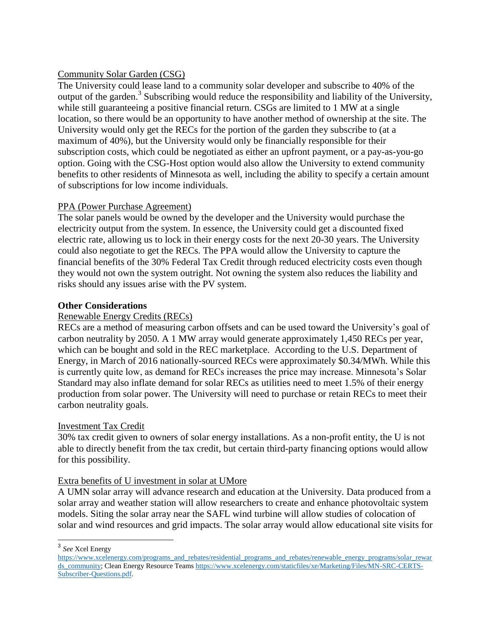## Community Solar Garden (CSG)

The University could lease land to a community solar developer and subscribe to 40% of the output of the garden.<sup>3</sup> Subscribing would reduce the responsibility and liability of the University, while still guaranteeing a positive financial return. CSGs are limited to 1 MW at a single location, so there would be an opportunity to have another method of ownership at the site. The University would only get the RECs for the portion of the garden they subscribe to (at a maximum of 40%), but the University would only be financially responsible for their subscription costs, which could be negotiated as either an upfront payment, or a pay-as-you-go option. Going with the CSG-Host option would also allow the University to extend community benefits to other residents of Minnesota as well, including the ability to specify a certain amount of subscriptions for low income individuals.

#### PPA (Power Purchase Agreement)

The solar panels would be owned by the developer and the University would purchase the electricity output from the system. In essence, the University could get a discounted fixed electric rate, allowing us to lock in their energy costs for the next 20-30 years. The University could also negotiate to get the RECs. The PPA would allow the University to capture the financial benefits of the 30% Federal Tax Credit through reduced electricity costs even though they would not own the system outright. Not owning the system also reduces the liability and risks should any issues arise with the PV system.

#### **Other Considerations**

#### Renewable Energy Credits (RECs)

RECs are a method of measuring carbon offsets and can be used toward the University's goal of carbon neutrality by 2050. A 1 MW array would generate approximately 1,450 RECs per year, which can be bought and sold in the REC marketplace. According to the U.S. Department of Energy, in March of 2016 nationally-sourced RECs were approximately \$0.34/MWh. While this is currently quite low, as demand for RECs increases the price may increase. Minnesota's Solar Standard may also inflate demand for solar RECs as utilities need to meet 1.5% of their energy production from solar power. The University will need to purchase or retain RECs to meet their carbon neutrality goals.

# Investment Tax Credit

30% tax credit given to owners of solar energy installations. As a non-profit entity, the U is not able to directly benefit from the tax credit, but certain third-party financing options would allow for this possibility.

#### Extra benefits of U investment in solar at UMore

A UMN solar array will advance research and education at the University. Data produced from a solar array and weather station will allow researchers to create and enhance photovoltaic system models. Siting the solar array near the SAFL wind turbine will allow studies of colocation of solar and wind resources and grid impacts. The solar array would allow educational site visits for

3 *See* Xcel Energy

[https://www.xcelenergy.com/programs\\_and\\_rebates/residential\\_programs\\_and\\_rebates/renewable\\_energy\\_programs/solar\\_rewar](https://www.xcelenergy.com/programs_and_rebates/residential_programs_and_rebates/renewable_energy_programs/solar_rewards_community) [ds\\_community;](https://www.xcelenergy.com/programs_and_rebates/residential_programs_and_rebates/renewable_energy_programs/solar_rewards_community) Clean Energy Resource Team[s https://www.xcelenergy.com/staticfiles/xe/Marketing/Files/MN-SRC-CERTS-](https://www.xcelenergy.com/staticfiles/xe/Marketing/Files/MN-SRC-CERTS-Subscriber-Questions.pdf)[Subscriber-Questions.pdf.](https://www.xcelenergy.com/staticfiles/xe/Marketing/Files/MN-SRC-CERTS-Subscriber-Questions.pdf)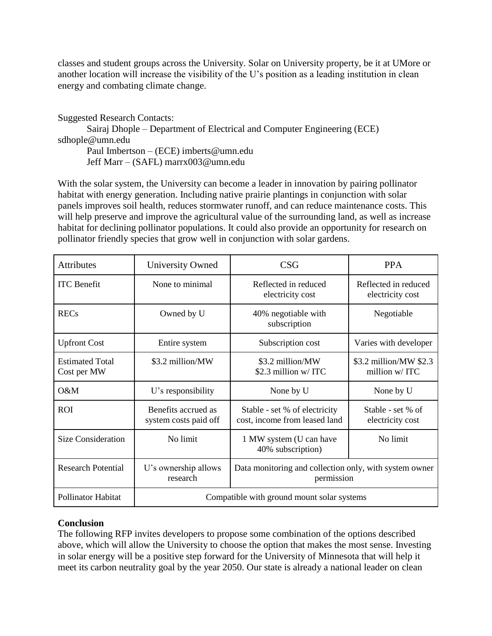classes and student groups across the University. Solar on University property, be it at UMore or another location will increase the visibility of the U's position as a leading institution in clean energy and combating climate change.

Suggested Research Contacts: Sairaj Dhople – Department of Electrical and Computer Engineering (ECE) sdhople@umn.edu Paul Imbertson – (ECE) imberts@umn.edu Jeff Marr – (SAFL) marrx003@umn.edu

With the solar system, the University can become a leader in innovation by pairing pollinator habitat with energy generation. Including native prairie plantings in conjunction with solar panels improves soil health, reduces stormwater runoff, and can reduce maintenance costs. This will help preserve and improve the agricultural value of the surrounding land, as well as increase habitat for declining pollinator populations. It could also provide an opportunity for research on pollinator friendly species that grow well in conjunction with solar gardens.

| <b>Attributes</b>                     | <b>University Owned</b>                      | CSG                                                                  | <b>PPA</b>                               |
|---------------------------------------|----------------------------------------------|----------------------------------------------------------------------|------------------------------------------|
| <b>ITC</b> Benefit                    | None to minimal                              | Reflected in reduced<br>electricity cost                             | Reflected in reduced<br>electricity cost |
| <b>RECs</b>                           | Owned by U                                   | 40% negotiable with<br>subscription                                  | Negotiable                               |
| <b>Upfront Cost</b>                   | Entire system                                | Subscription cost                                                    | Varies with developer                    |
| <b>Estimated Total</b><br>Cost per MW | \$3.2 million/MW                             | \$3.2 million/MW<br>\$2.3 million w/ ITC                             | \$3.2 million/MW \$2.3<br>million w/ ITC |
| O&M                                   | U's responsibility                           | None by U                                                            | None by U                                |
| <b>ROI</b>                            | Benefits accrued as<br>system costs paid off | Stable - set % of electricity<br>cost, income from leased land       | Stable - set % of<br>electricity cost    |
| <b>Size Consideration</b>             | No limit                                     | 1 MW system (U can have<br>40% subscription)                         | No limit                                 |
| <b>Research Potential</b>             | U's ownership allows<br>research             | Data monitoring and collection only, with system owner<br>permission |                                          |
| <b>Pollinator Habitat</b>             | Compatible with ground mount solar systems   |                                                                      |                                          |

# **Conclusion**

The following RFP invites developers to propose some combination of the options described above, which will allow the University to choose the option that makes the most sense. Investing in solar energy will be a positive step forward for the University of Minnesota that will help it meet its carbon neutrality goal by the year 2050. Our state is already a national leader on clean